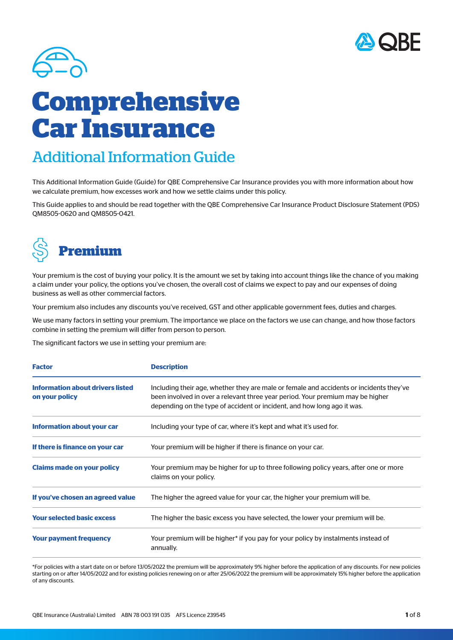



# **Comprehensive Car Insurance**

# Additional Information Guide

This Additional Information Guide (Guide) for QBE Comprehensive Car Insurance provides you with more information about how we calculate premium, how excesses work and how we settle claims under this policy.

This Guide applies to and should be read together with the QBE Comprehensive Car Insurance Product Disclosure Statement (PDS) QM8505-0620 and QM8505-0421.



Your premium is the cost of buying your policy. It is the amount we set by taking into account things like the chance of you making a claim under your policy, the options you've chosen, the overall cost of claims we expect to pay and our expenses of doing business as well as other commercial factors.

Your premium also includes any discounts you've received, GST and other applicable government fees, duties and charges.

We use many factors in setting your premium. The importance we place on the factors we use can change, and how those factors combine in setting the premium will differ from person to person.

The significant factors we use in setting your premium are:

| <b>Factor</b>                                             | <b>Description</b>                                                                                                                                                                                                                                   |
|-----------------------------------------------------------|------------------------------------------------------------------------------------------------------------------------------------------------------------------------------------------------------------------------------------------------------|
| <b>Information about drivers listed</b><br>on your policy | Including their age, whether they are male or female and accidents or incidents they've<br>been involved in over a relevant three year period. Your premium may be higher<br>depending on the type of accident or incident, and how long ago it was. |
| <b>Information about your car</b>                         | Including your type of car, where it's kept and what it's used for.                                                                                                                                                                                  |
| If there is finance on your car                           | Your premium will be higher if there is finance on your car.                                                                                                                                                                                         |
| <b>Claims made on your policy</b>                         | Your premium may be higher for up to three following policy years, after one or more<br>claims on your policy.                                                                                                                                       |
| If you've chosen an agreed value                          | The higher the agreed value for your car, the higher your premium will be.                                                                                                                                                                           |
| <b>Your selected basic excess</b>                         | The higher the basic excess you have selected, the lower your premium will be.                                                                                                                                                                       |
| <b>Your payment frequency</b>                             | Your premium will be higher* if you pay for your policy by instalments instead of<br>annually.                                                                                                                                                       |

\*For policies with a start date on or before 13/05/2022 the premium will be approximately 9% higher before the application of any discounts. For new policies starting on or after 14/05/2022 and for existing policies renewing on or after 25/06/2022 the premium will be approximately 15% higher before the application of any discounts.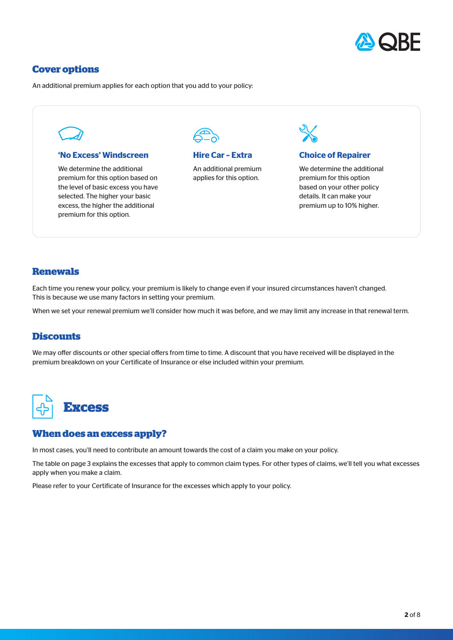

# **Cover options**

An additional premium applies for each option that you add to your policy:

#### **'No Excess' Windscreen**

We determine the additional premium for this option based on the level of basic excess you have selected. The higher your basic excess, the higher the additional premium for this option.



# **Hire Car – Extra**

An additional premium applies for this option.



# **Choice of Repairer**

We determine the additional premium for this option based on your other policy details. It can make your premium up to 10% higher.

# **Renewals**

Each time you renew your policy, your premium is likely to change even if your insured circumstances haven't changed. This is because we use many factors in setting your premium.

When we set your renewal premium we'll consider how much it was before, and we may limit any increase in that renewal term.

# **Discounts**

We may offer discounts or other special offers from time to time. A discount that you have received will be displayed in the premium breakdown on your Certificate of Insurance or else included within your premium.



# **When does an excess apply?**

In most cases, you'll need to contribute an amount towards the cost of a claim you make on your policy.

The table on page 3 explains the excesses that apply to common claim types. For other types of claims, we'll tell you what excesses apply when you make a claim.

Please refer to your Certificate of Insurance for the excesses which apply to your policy.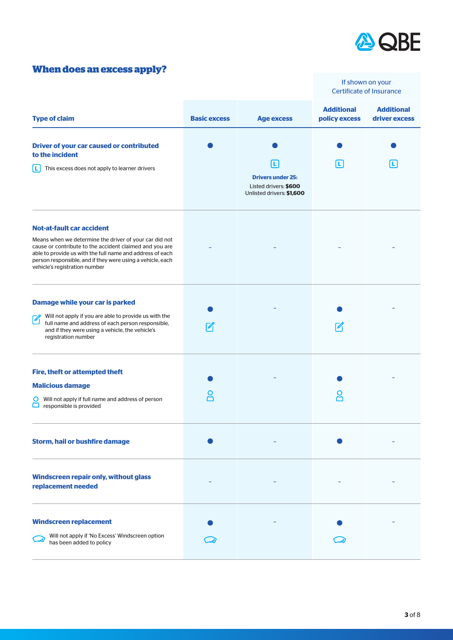

# **When does an excess apply?**

|                                                                                                                                                                                                                                                                                                                   |                     |                                                                                      |                                    | If shown on your<br><b>Certificate of Insurance</b> |
|-------------------------------------------------------------------------------------------------------------------------------------------------------------------------------------------------------------------------------------------------------------------------------------------------------------------|---------------------|--------------------------------------------------------------------------------------|------------------------------------|-----------------------------------------------------|
| <b>Type of claim</b>                                                                                                                                                                                                                                                                                              | <b>Basic excess</b> | <b>Age excess</b>                                                                    | <b>Additional</b><br>policy excess | <b>Additional</b><br>driver excess                  |
| <b>Driver of your car caused or contributed</b><br>to the incident<br>This excess does not apply to learner drivers<br>Ш                                                                                                                                                                                          |                     | L.<br><b>Drivers under 25:</b><br>Listed drivers: \$600<br>Unlisted drivers: \$1,600 | Ш                                  | L.                                                  |
| <b>Not-at-fault car accident</b><br>Means when we determine the driver of your car did not<br>cause or contribute to the accident claimed and you are<br>able to provide us with the full name and address of each<br>person responsible, and if they were using a vehicle, each<br>vehicle's registration number |                     |                                                                                      |                                    |                                                     |
| Damage while your car is parked<br>Will not apply if you are able to provide us with the<br>$\mathscr{C}_1$<br>full name and address of each person responsible,<br>and if they were using a vehicle, the vehicle's<br>registration number                                                                        |                     |                                                                                      |                                    |                                                     |
| <b>Fire, theft or attempted theft</b><br><b>Malicious damage</b><br>Will not apply if full name and address of person<br>$\Box$ responsible is provided                                                                                                                                                           |                     |                                                                                      |                                    |                                                     |
| Storm, hail or bushfire damage                                                                                                                                                                                                                                                                                    |                     |                                                                                      |                                    |                                                     |
| Windscreen repair only, without glass<br>replacement needed                                                                                                                                                                                                                                                       |                     |                                                                                      |                                    |                                                     |
| <b>Windscreen replacement</b><br>Will not apply if 'No Excess' Windscreen option<br>has been added to policy                                                                                                                                                                                                      |                     |                                                                                      |                                    |                                                     |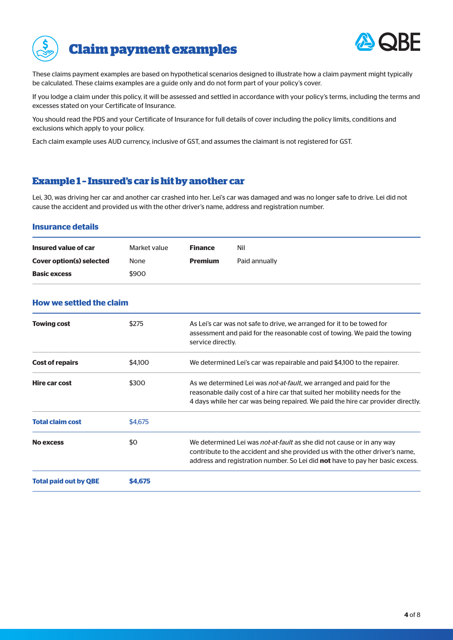



These claims payment examples are based on hypothetical scenarios designed to illustrate how a claim payment might typically be calculated. These claims examples are a guide only and do not form part of your policy's cover.

If you lodge a claim under this policy, it will be assessed and settled in accordance with your policy's terms, including the terms and excesses stated on your Certificate of Insurance.

You should read the PDS and your Certificate of Insurance for full details of cover including the policy limits, conditions and exclusions which apply to your policy.

Each claim example uses AUD currency, inclusive of GST, and assumes the claimant is not registered for GST.

# **Example 1 – Insured's car is hit by another car**

Lei, 30, was driving her car and another car crashed into her. Lei's car was damaged and was no longer safe to drive. Lei did not cause the accident and provided us with the other driver's name, address and registration number.

#### **Insurance details**

| Insured value of car            | Market value | <b>Finance</b> | Nil           |
|---------------------------------|--------------|----------------|---------------|
| <b>Cover option(s) selected</b> | None         | <b>Premium</b> | Paid annually |
| <b>Basic excess</b>             | \$900        |                |               |

## **How we settled the claim**

|                         |         | address and registration number. So Lei did <b>not</b> have to pay her basic excess.                                                                                                                                                          |
|-------------------------|---------|-----------------------------------------------------------------------------------------------------------------------------------------------------------------------------------------------------------------------------------------------|
| <b>No excess</b>        | \$0     | We determined Lei was <i>not-at-fault</i> as she did not cause or in any way<br>contribute to the accident and she provided us with the other driver's name,                                                                                  |
| <b>Total claim cost</b> | \$4,675 |                                                                                                                                                                                                                                               |
| Hire car cost           | \$300   | As we determined Lei was <i>not-at-fault</i> , we arranged and paid for the<br>reasonable daily cost of a hire car that suited her mobility needs for the<br>4 days while her car was being repaired. We paid the hire car provider directly. |
| <b>Cost of repairs</b>  | \$4,100 | We determined Lei's car was repairable and paid \$4,100 to the repairer.                                                                                                                                                                      |
| <b>Towing cost</b>      | \$275   | As Lei's car was not safe to drive, we arranged for it to be towed for<br>assessment and paid for the reasonable cost of towing. We paid the towing<br>service directly.                                                                      |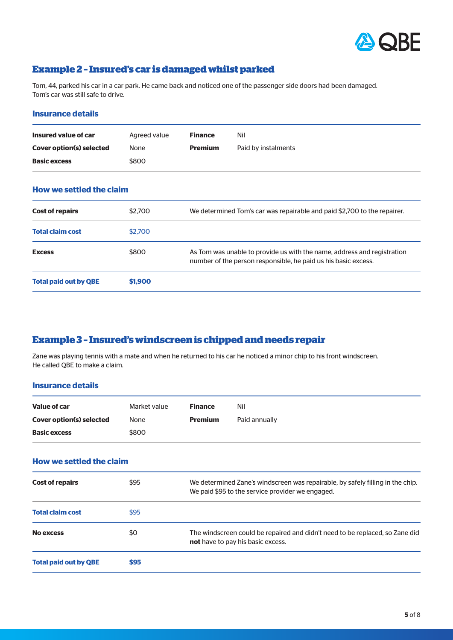

# **Example 2 – Insured's car is damaged whilst parked**

Tom, 44, parked his car in a car park. He came back and noticed one of the passenger side doors had been damaged. Tom's car was still safe to drive.

#### **Insurance details**

| Insured value of car            | Agreed value | <b>Finance</b> | Nil                 |
|---------------------------------|--------------|----------------|---------------------|
| <b>Cover option(s) selected</b> | <b>None</b>  | <b>Premium</b> | Paid by instalments |
| <b>Basic excess</b>             | \$800        |                |                     |

| <b>How we settled the claim</b> |  |
|---------------------------------|--|
|---------------------------------|--|

| <b>Cost of repairs</b>       | \$2,700 | We determined Tom's car was repairable and paid \$2,700 to the repairer.                                                                  |
|------------------------------|---------|-------------------------------------------------------------------------------------------------------------------------------------------|
| <b>Total claim cost</b>      | \$2,700 |                                                                                                                                           |
| <b>Excess</b>                | \$800   | As Tom was unable to provide us with the name, address and registration<br>number of the person responsible, he paid us his basic excess. |
| <b>Total paid out by QBE</b> | \$1,900 |                                                                                                                                           |

# **Example 3 – Insured's windscreen is chipped and needs repair**

Zane was playing tennis with a mate and when he returned to his car he noticed a minor chip to his front windscreen. He called QBE to make a claim.

#### **Insurance details**

| Value of car                    | Market value | <b>Finance</b> | Nil                                                                                                                                |
|---------------------------------|--------------|----------------|------------------------------------------------------------------------------------------------------------------------------------|
| <b>Cover option(s) selected</b> | None         | <b>Premium</b> | Paid annually                                                                                                                      |
| <b>Basic excess</b>             | \$800        |                |                                                                                                                                    |
| <b>How we settled the claim</b> |              |                |                                                                                                                                    |
| <b>Cost of repairs</b>          | \$95         |                | We determined Zane's windscreen was repairable, by safely filling in the chip.<br>We paid \$95 to the service provider we engaged. |
| <b>Total claim cost</b>         | \$95         |                |                                                                                                                                    |
| <b>No excess</b>                | \$0          |                | The windscreen could be repaired and didn't need to be replaced, so Zane did<br><b>not</b> have to pay his basic excess.           |
| <b>Total paid out by QBE</b>    | \$95         |                |                                                                                                                                    |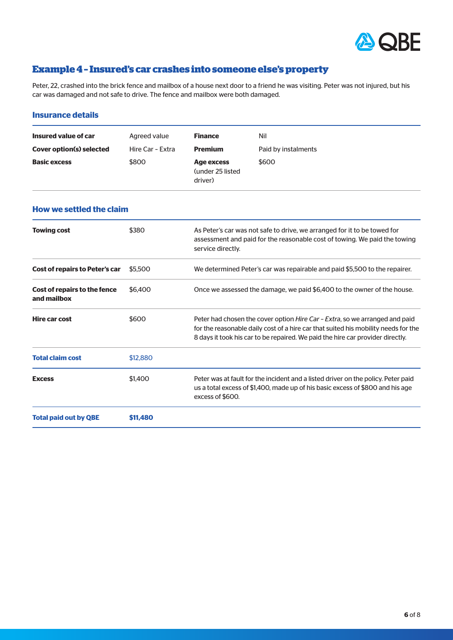

# **Example 4 – Insured's car crashes into someone else's property**

Peter, 22, crashed into the brick fence and mailbox of a house next door to a friend he was visiting. Peter was not injured, but his car was damaged and not safe to drive. The fence and mailbox were both damaged.

#### **Insurance details**

| Insured value of car            | Agreed value     | <b>Finance</b>                             | Nil                 |
|---------------------------------|------------------|--------------------------------------------|---------------------|
| <b>Cover option(s) selected</b> | Hire Car - Extra | <b>Premium</b>                             | Paid by instalments |
| <b>Basic excess</b>             | \$800            | Age excess<br>(under 25 listed)<br>driver) | \$600               |

# **How we settled the claim**

| <b>Towing cost</b>                                 | \$380    | As Peter's car was not safe to drive, we arranged for it to be towed for<br>assessment and paid for the reasonable cost of towing. We paid the towing<br>service directly.                                                                                  |
|----------------------------------------------------|----------|-------------------------------------------------------------------------------------------------------------------------------------------------------------------------------------------------------------------------------------------------------------|
| <b>Cost of repairs to Peter's car</b>              | \$5,500  | We determined Peter's car was repairable and paid \$5,500 to the repairer.                                                                                                                                                                                  |
| <b>Cost of repairs to the fence</b><br>and mailbox | \$6,400  | Once we assessed the damage, we paid \$6,400 to the owner of the house.                                                                                                                                                                                     |
| <b>Hire car cost</b>                               | \$600    | Peter had chosen the cover option <i>Hire Car - Extra</i> , so we arranged and paid<br>for the reasonable daily cost of a hire car that suited his mobility needs for the<br>8 days it took his car to be repaired. We paid the hire car provider directly. |
| <b>Total claim cost</b>                            | \$12,880 |                                                                                                                                                                                                                                                             |
| <b>Excess</b>                                      | \$1,400  | Peter was at fault for the incident and a listed driver on the policy. Peter paid<br>us a total excess of \$1,400, made up of his basic excess of \$800 and his age<br>excess of \$600.                                                                     |
| <b>Total paid out by QBE</b>                       | \$11,480 |                                                                                                                                                                                                                                                             |
|                                                    |          |                                                                                                                                                                                                                                                             |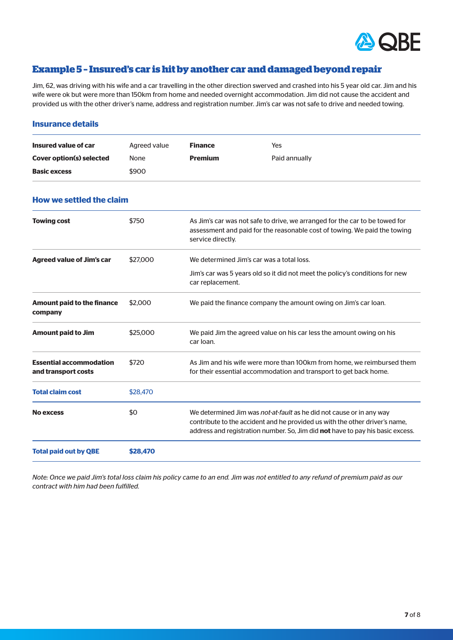

# **Example 5 – Insured's car is hit by another car and damaged beyond repair**

Jim, 62, was driving with his wife and a car travelling in the other direction swerved and crashed into his 5 year old car. Jim and his wife were ok but were more than 150km from home and needed overnight accommodation. Jim did not cause the accident and provided us with the other driver's name, address and registration number. Jim's car was not safe to drive and needed towing.

#### **Insurance details**

| Insured value of car            | Agreed value | <b>Finance</b> | Yes           |
|---------------------------------|--------------|----------------|---------------|
| <b>Cover option(s) selected</b> | <b>None</b>  | <b>Premium</b> | Paid annually |
| <b>Basic excess</b>             | \$900        |                |               |

# **How we settled the claim**

| \$750    | As Jim's car was not safe to drive, we arranged for the car to be towed for<br>assessment and paid for the reasonable cost of towing. We paid the towing<br>service directly.                                                                |
|----------|----------------------------------------------------------------------------------------------------------------------------------------------------------------------------------------------------------------------------------------------|
| \$27,000 | We determined Jim's car was a total loss.                                                                                                                                                                                                    |
|          | Jim's car was 5 years old so it did not meet the policy's conditions for new<br>car replacement.                                                                                                                                             |
| \$2,000  | We paid the finance company the amount owing on Jim's car loan.                                                                                                                                                                              |
| \$25,000 | We paid Jim the agreed value on his car less the amount owing on his<br>car loan.                                                                                                                                                            |
| \$720    | As Jim and his wife were more than 100km from home, we reimbursed them<br>for their essential accommodation and transport to get back home.                                                                                                  |
| \$28,470 |                                                                                                                                                                                                                                              |
| \$0      | We determined Jim was <i>not-at-fault</i> as he did not cause or in any way<br>contribute to the accident and he provided us with the other driver's name,<br>address and registration number. So, Jim did not have to pay his basic excess. |
| \$28,470 |                                                                                                                                                                                                                                              |
|          |                                                                                                                                                                                                                                              |

*Note: Once we paid Jim's total loss claim his policy came to an end. Jim was not entitled to any refund of premium paid as our contract with him had been fulfilled.*